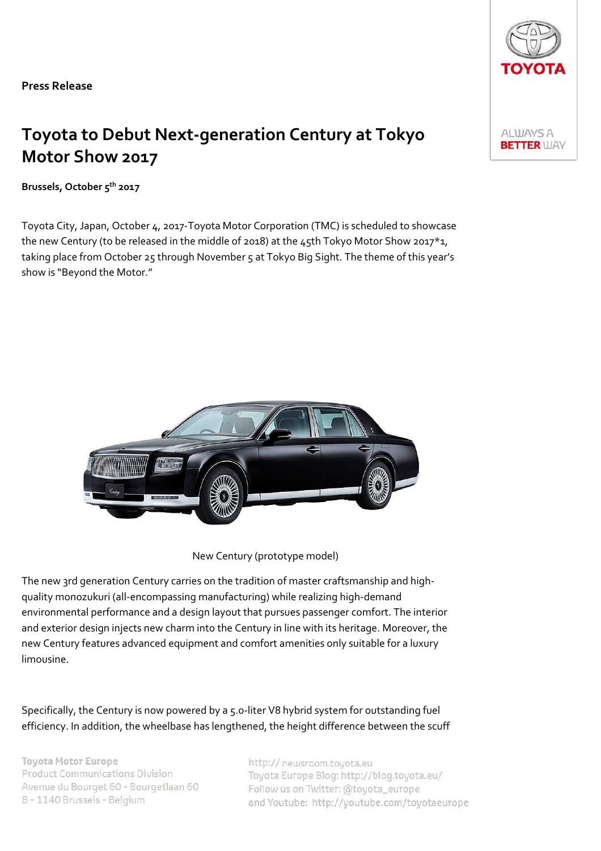Press Release

# Toyota to Debut Next-generation Century at Tokyo Motor Show 2017

Brussels, October 5<sup>th</sup> 2017

Toyota City, Japan, October 4, 2017-Toyota Motor Corporation (TMC) is scheduled to showcase the new Century (to be released in the middle of 2018) at the 45th Tokyo Motor Show 2017\*1, taking place from October 25 through November 5 at Tokyo Big Sight. The theme of this year's show is "Beyond the Motor."



New Century (prototype model)

The new 3rd generation Century carries on the tradition of master craftsmanship and highquality monozukuri (all-encompassing manufacturing) while realizing high-demand environmental performance and a design layout that pursues passenger comfort. The interior and exterior design injects new charm into the Century in line with its heritage. Moreover, the new Century features advanced equipment and comfort amenities only suitable for a luxury limousine.

Specifically, the Century is now powered by a 5.0-liter V8 hybrid system for outstanding fuel efficiency. In addition, the wheelbase has lengthened, the height difference between the scuff

**Toyota Motor Europe Product Communications Division** Avenue du Bourget 60 - Bourgetlaan 60 B - 1140 Brussels - Belgium

http:// neusroom.tovota.eu Toyota Europe Blog: http://blog.toyota.eu/ Follow us on Twitter: @toyota\_europe and Youtube: http://youtube.com/toyotaeurope

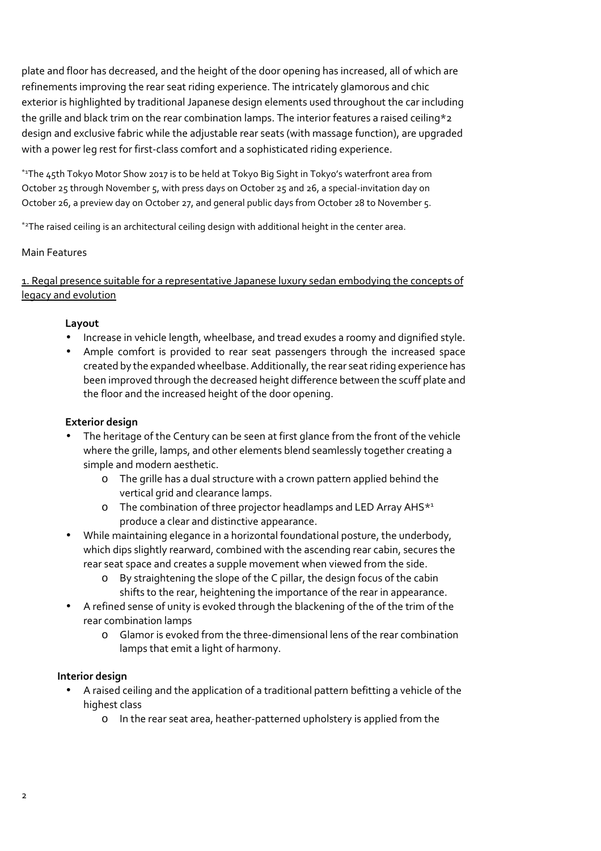plate and floor has decreased, and the height of the door opening has increased, all of which are refinements improving the rear seat riding experience. The intricately glamorous and chic exterior is highlighted by traditional Japanese design elements used throughout the car including the grille and black trim on the rear combination lamps. The interior features a raised ceiling\*2 design and exclusive fabric while the adjustable rear seats (with massage function), are upgraded with a power leg rest for first-class comfort and a sophisticated riding experience.

\*<sup>1</sup>The 45th Tokyo Motor Show 2017 is to be held at Tokyo Big Sight in Tokyo's waterfront area from October 25 through November 5, with press days on October 25 and 26, a special-invitation day on October 26, a preview day on October 27, and general public days from October 28 to November 5.

\*<sup>2</sup>The raised ceiling is an architectural ceiling design with additional height in the center area.

## Main Features

1. Regal presence suitable for a representative Japanese luxury sedan embodying the concepts of legacy and evolution

### Layout

- Increase in vehicle length, wheelbase, and tread exudes a roomy and dignified style.
- Ample comfort is provided to rear seat passengers through the increased space created by the expanded wheelbase. Additionally, the rear seat riding experience has been improved through the decreased height difference between the scuff plate and the floor and the increased height of the door opening.

### Exterior design

- The heritage of the Century can be seen at first glance from the front of the vehicle where the grille, lamps, and other elements blend seamlessly together creating a simple and modern aesthetic.
	- o The grille has a dual structure with a crown pattern applied behind the vertical grid and clearance lamps.
	- o The combination of three projector headlamps and LED Array AHS\*<sup>1</sup> produce a clear and distinctive appearance.
- While maintaining elegance in a horizontal foundational posture, the underbody, which dips slightly rearward, combined with the ascending rear cabin, secures the rear seat space and creates a supple movement when viewed from the side.
	- o By straightening the slope of the C pillar, the design focus of the cabin shifts to the rear, heightening the importance of the rear in appearance.
- A refined sense of unity is evoked through the blackening of the of the trim of the rear combination lamps
	- o Glamor is evoked from the three-dimensional lens of the rear combination lamps that emit a light of harmony.

#### Interior design

- A raised ceiling and the application of a traditional pattern befitting a vehicle of the highest class
	- o In the rear seat area, heather-patterned upholstery is applied from the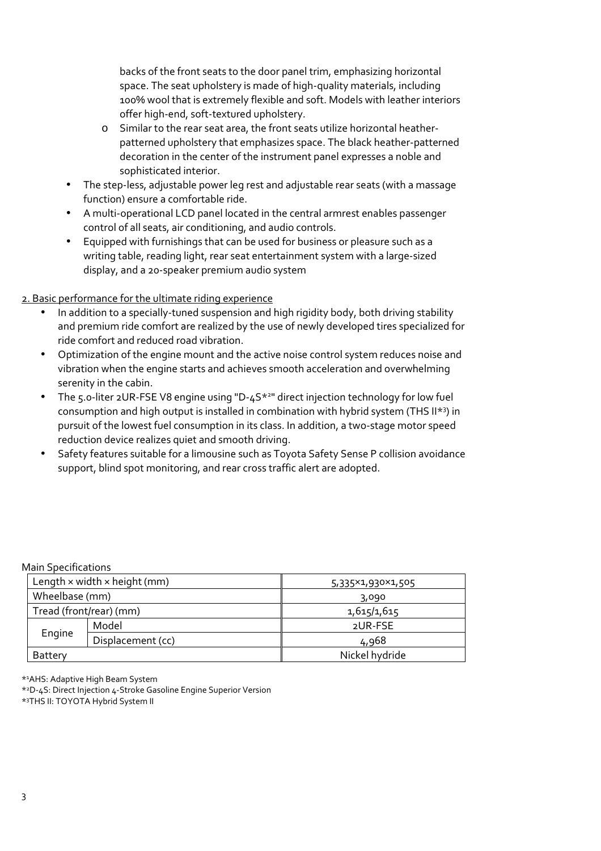backs of the front seats to the door panel trim, emphasizing horizontal space. The seat upholstery is made of high-quality materials, including 100% wool that is extremely flexible and soft. Models with leather interiors offer high-end, soft-textured upholstery.

- o Similar to the rear seat area, the front seats utilize horizontal heatherpatterned upholstery that emphasizes space. The black heather-patterned decoration in the center of the instrument panel expresses a noble and sophisticated interior.
- The step-less, adjustable power leg rest and adjustable rear seats (with a massage function) ensure a comfortable ride.
- A multi-operational LCD panel located in the central armrest enables passenger control of all seats, air conditioning, and audio controls.
- Equipped with furnishings that can be used for business or pleasure such as a writing table, reading light, rear seat entertainment system with a large-sized display, and a 20-speaker premium audio system

# 2. Basic performance for the ultimate riding experience

- In addition to a specially-tuned suspension and high rigidity body, both driving stability and premium ride comfort are realized by the use of newly developed tires specialized for ride comfort and reduced road vibration.
- Optimization of the engine mount and the active noise control system reduces noise and vibration when the engine starts and achieves smooth acceleration and overwhelming serenity in the cabin.
- The 5.0-liter 2UR-FSE V8 engine using "D-4S<sup>\*2</sup>" direct injection technology for low fuel consumption and high output is installed in combination with hybrid system (THS II\*<sup>3</sup> ) in pursuit of the lowest fuel consumption in its class. In addition, a two-stage motor speed reduction device realizes quiet and smooth driving.
- Safety features suitable for a limousine such as Toyota Safety Sense P collision avoidance support, blind spot monitoring, and rear cross traffic alert are adopted.

#### Main Specifications

| Length $\times$ width $\times$ height (mm) |                   | 5,335×1,930×1,505 |
|--------------------------------------------|-------------------|-------------------|
| Wheelbase (mm)                             |                   | 3,090             |
| Tread (front/rear) (mm)                    |                   | 1,615/1,615       |
| Engine                                     | Model             | 2UR-FSE           |
|                                            | Displacement (cc) | 4,968             |
| Battery                                    |                   | Nickel hydride    |

\* <sup>1</sup>AHS: Adaptive High Beam System

\* <sup>2</sup>D-4S: Direct Injection 4-Stroke Gasoline Engine Superior Version

\* 3THS II: TOYOTA Hybrid System II